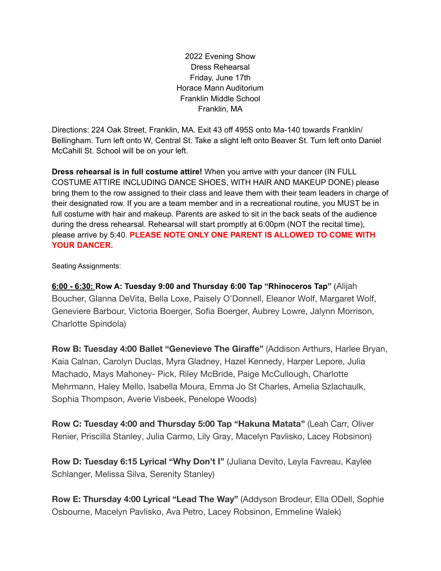2022 Evening Show Dress Rehearsal Friday, June 17th Horace Mann Auditorium Franklin Middle School Franklin, MA

Directions: 224 Oak Street, Franklin, MA. Exit 43 off 495S onto Ma-140 towards Franklin/ Bellingham. Turn left onto W, Central St. Take a slight left onto Beaver St. Turn left onto Daniel McCahill St. School will be on your left.

**Dress rehearsal is in full costume attire!** When you arrive with your dancer (IN FULL COSTUME ATTIRE INCLUDING DANCE SHOES, WITH HAIR AND MAKEUP DONE) please bring them to the row assigned to their class and leave them with their team leaders in charge of their designated row. If you are a team member and in a recreational routine, you MUST be in full costume with hair and makeup. Parents are asked to sit in the back seats of the audience during the dress rehearsal. Rehearsal will start promptly at 6:00pm (NOT the recital time), please arrive by 5:40. **PLEASE NOTE ONLY ONE PARENT IS ALLOWED TO COME WITH YOUR DANCER.**

Seating Assignments:

**6:00 - 6:30: Row A: Tuesday 9:00 and Thursday 6:00 Tap "Rhinoceros Tap"** (Alijah Boucher, GIanna DeVita, Bella Loxe, Paisely O'Donnell, Eleanor Wolf, Margaret Wolf, Geneviere Barbour, Victoria Boerger, Sofia Boerger, Aubrey Lowre, Jalynn Morrison, Charlotte Spindola)

**Row B: Tuesday 4:00 Ballet "Genevieve The Giraffe"** (Addison Arthurs, Harlee Bryan, Kaia Calnan, Carolyn Duclas, Myra Gladney, Hazel Kennedy, Harper Lepore, Julia Machado, Mays Mahoney- Pick, Riley McBride, Paige McCullough, Charlotte Mehrmann, Haley Mello, Isabella Moura, Emma Jo St Charles, Amelia Szlachaulk, Sophia Thompson, Averie Visbeek, Penelope Woods)

**Row C: Tuesday 4:00 and Thursday 5:00 Tap "Hakuna Matata"** (Leah Carr, Oliver Renier, Priscilla Stanley, Julia Carmo, Lily Gray, Macelyn Pavlisko, Lacey Robsinon)

**Row D: Tuesday 6:15 Lyrical "Why Don't I"** (Juliana Devito, Leyla Favreau, Kaylee Schlanger, Melissa Silva, Serenity Stanley)

**Row E: Thursday 4:00 Lyrical "Lead The Way"** (Addyson Brodeur, Ella ODell, Sophie Osbourne, Macelyn Pavlisko, Ava Petro, Lacey Robsinon, Emmeline Walek)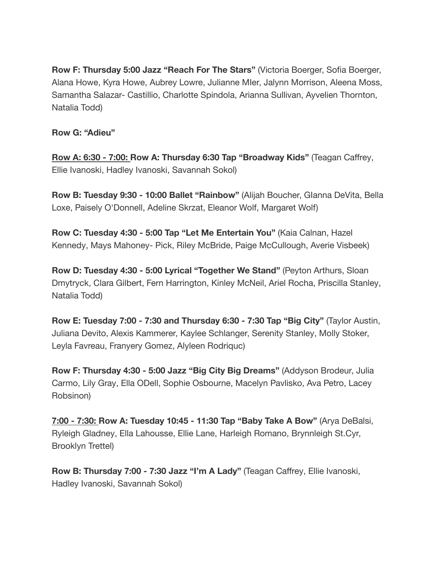**Row F: Thursday 5:00 Jazz "Reach For The Stars"** (Victoria Boerger, Sofia Boerger, Alana Howe, Kyra Howe, Aubrey Lowre, Julianne MIer, Jalynn Morrison, Aleena Moss, Samantha Salazar- Castillio, Charlotte Spindola, Arianna Sullivan, Ayvelien Thornton, Natalia Todd)

**Row G: "Adieu"**

**Row A: 6:30 - 7:00: Row A: Thursday 6:30 Tap "Broadway Kids"** (Teagan Caffrey, Ellie Ivanoski, Hadley Ivanoski, Savannah Sokol)

**Row B: Tuesday 9:30 - 10:00 Ballet "Rainbow"** (Alijah Boucher, GIanna DeVita, Bella Loxe, Paisely O'Donnell, Adeline Skrzat, Eleanor Wolf, Margaret Wolf)

**Row C: Tuesday 4:30 - 5:00 Tap "Let Me Entertain You"** (Kaia Calnan, Hazel Kennedy, Mays Mahoney- Pick, Riley McBride, Paige McCullough, Averie Visbeek)

**Row D: Tuesday 4:30 - 5:00 Lyrical "Together We Stand"** (Peyton Arthurs, Sloan Dmytryck, Clara Gilbert, Fern Harrington, Kinley McNeil, Ariel Rocha, Priscilla Stanley, Natalia Todd)

**Row E: Tuesday 7:00 - 7:30 and Thursday 6:30 - 7:30 Tap "Big City"** (Taylor Austin, Juliana Devito, Alexis Kammerer, Kaylee Schlanger, Serenity Stanley, Molly Stoker, Leyla Favreau, Franyery Gomez, Alyleen Rodriquc)

**Row F: Thursday 4:30 - 5:00 Jazz "Big City Big Dreams"** (Addyson Brodeur, Julia Carmo, Lily Gray, Ella ODell, Sophie Osbourne, Macelyn Pavlisko, Ava Petro, Lacey Robsinon)

**7:00 - 7:30: Row A: Tuesday 10:45 - 11:30 Tap "Baby Take A Bow"** (Arya DeBalsi, Ryleigh Gladney, Ella Lahousse, Ellie Lane, Harleigh Romano, Brynnleigh St.Cyr, Brooklyn Trettel)

**Row B: Thursday 7:00 - 7:30 Jazz "I'm A Lady"** (Teagan Caffrey, Ellie Ivanoski, Hadley Ivanoski, Savannah Sokol)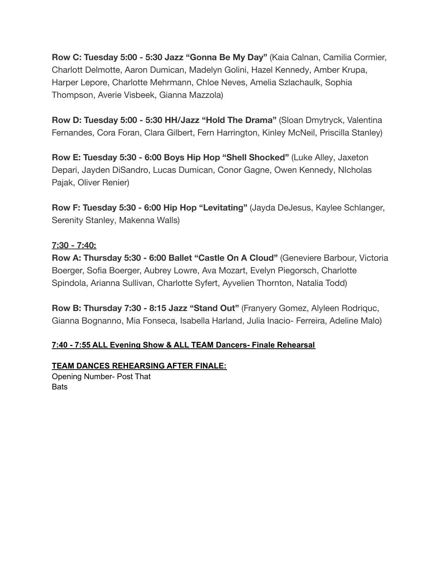**Row C: Tuesday 5:00 - 5:30 Jazz "Gonna Be My Day"** (Kaia Calnan, Camilia Cormier, Charlott Delmotte, Aaron Dumican, Madelyn Golini, Hazel Kennedy, Amber Krupa, Harper Lepore, Charlotte Mehrmann, Chloe Neves, Amelia Szlachaulk, Sophia Thompson, Averie Visbeek, Gianna Mazzola)

**Row D: Tuesday 5:00 - 5:30 HH/Jazz "Hold The Drama"** (Sloan Dmytryck, Valentina Fernandes, Cora Foran, Clara Gilbert, Fern Harrington, Kinley McNeil, Priscilla Stanley)

**Row E: Tuesday 5:30 - 6:00 Boys Hip Hop "Shell Shocked"** (Luke Alley, Jaxeton Depari, Jayden DiSandro, Lucas Dumican, Conor Gagne, Owen Kennedy, NIcholas Pajak, Oliver Renier)

**Row F: Tuesday 5:30 - 6:00 Hip Hop "Levitating"** (Jayda DeJesus, Kaylee Schlanger, Serenity Stanley, Makenna Walls)

## **7:30 - 7:40:**

**Row A: Thursday 5:30 - 6:00 Ballet "Castle On A Cloud"** (Geneviere Barbour, Victoria Boerger, Sofia Boerger, Aubrey Lowre, Ava Mozart, Evelyn Piegorsch, Charlotte Spindola, Arianna Sullivan, Charlotte Syfert, Ayvelien Thornton, Natalia Todd)

**Row B: Thursday 7:30 - 8:15 Jazz "Stand Out"** (Franyery Gomez, Alyleen Rodriquc, Gianna Bognanno, Mia Fonseca, Isabella Harland, Julia Inacio- Ferreira, Adeline Malo)

## **7:40 - 7:55 ALL Evening Show & ALL TEAM Dancers- Finale Rehearsal**

## **TEAM DANCES REHEARSING AFTER FINALE:**

Opening Number- Post That **Bats**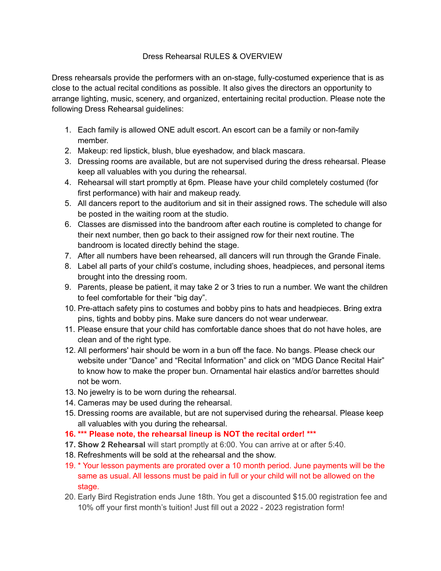## Dress Rehearsal RULES & OVERVIEW

Dress rehearsals provide the performers with an on-stage, fully-costumed experience that is as close to the actual recital conditions as possible. It also gives the directors an opportunity to arrange lighting, music, scenery, and organized, entertaining recital production. Please note the following Dress Rehearsal guidelines:

- 1. Each family is allowed ONE adult escort. An escort can be a family or non-family member.
- 2. Makeup: red lipstick, blush, blue eyeshadow, and black mascara.
- 3. Dressing rooms are available, but are not supervised during the dress rehearsal. Please keep all valuables with you during the rehearsal.
- 4. Rehearsal will start promptly at 6pm. Please have your child completely costumed (for first performance) with hair and makeup ready.
- 5. All dancers report to the auditorium and sit in their assigned rows. The schedule will also be posted in the waiting room at the studio.
- 6. Classes are dismissed into the bandroom after each routine is completed to change for their next number, then go back to their assigned row for their next routine. The bandroom is located directly behind the stage.
- 7. After all numbers have been rehearsed, all dancers will run through the Grande Finale.
- 8. Label all parts of your child's costume, including shoes, headpieces, and personal items brought into the dressing room.
- 9. Parents, please be patient, it may take 2 or 3 tries to run a number. We want the children to feel comfortable for their "big day".
- 10. Pre-attach safety pins to costumes and bobby pins to hats and headpieces. Bring extra pins, tights and bobby pins. Make sure dancers do not wear underwear.
- 11. Please ensure that your child has comfortable dance shoes that do not have holes, are clean and of the right type.
- 12. All performers' hair should be worn in a bun off the face. No bangs. Please check our website under "Dance" and "Recital Information" and click on "MDG Dance Recital Hair" to know how to make the proper bun. Ornamental hair elastics and/or barrettes should not be worn.
- 13. No jewelry is to be worn during the rehearsal.
- 14. Cameras may be used during the rehearsal.
- 15. Dressing rooms are available, but are not supervised during the rehearsal. Please keep all valuables with you during the rehearsal.
- **16. \*\*\* Please note, the rehearsal lineup is NOT the recital order! \*\*\***
- **17. Show 2 Rehearsal** will start promptly at 6:00. You can arrive at or after 5:40.
- 18. Refreshments will be sold at the rehearsal and the show.
- 19. \* Your lesson payments are prorated over a 10 month period. June payments will be the same as usual. All lessons must be paid in full or your child will not be allowed on the stage.
- 20. Early Bird Registration ends June 18th. You get a discounted \$15.00 registration fee and 10% off your first month's tuition! Just fill out a 2022 - 2023 registration form!